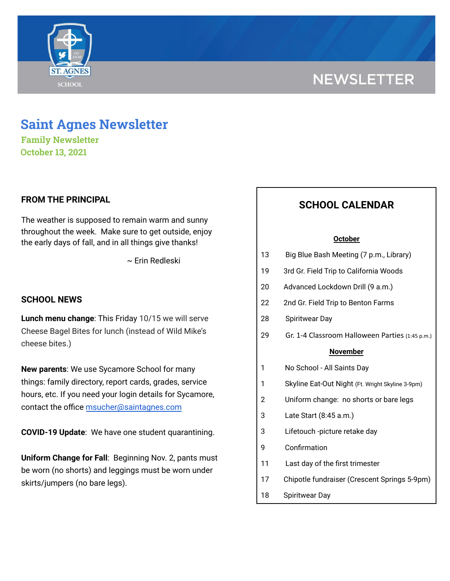# **NEWSLETTER**



**Family Newsletter October 13, 2021**

**ST. AGNES** 

**SCHOOL** 

# **FROM THE PRINCIPAL**

The weather is supposed to remain warm and sunny throughout the week. Make sure to get outside, enjoy the early days of fall, and in all things give thanks!

~ Erin Redleski

# **SCHOOL NEWS**

**Lunch menu change**: This Friday 10/15 we will serve Cheese Bagel Bites for lunch (instead of Wild Mike's cheese bites.)

**New parents**: We use Sycamore School for many things: family directory, report cards, grades, service hours, etc. If you need your login details for Sycamore, contact the office [msucher@saintagnes.com](mailto:msucher@saintagnes.com)

**COVID-19 Update**: We have one student quarantining.

**Uniform Change for Fall**: Beginning Nov. 2, pants must be worn (no shorts) and leggings must be worn under skirts/jumpers (no bare legs).

# **SCHOOL CALENDAR**

#### **October**

| 13 | Big Blue Bash Meeting (7 p.m., Library) |
|----|-----------------------------------------|
|----|-----------------------------------------|

- 19 3rd Gr. Field Trip to California Woods
- 20 Advanced Lockdown Drill (9 a.m.)
- 22 2nd Gr. Field Trip to Benton Farms
- 28 Spiritwear Day
- 29 Gr. 1-4 Classroom Halloween Parties (1:45 p.m.)

#### **November**

- 1 No School All Saints Day
- 1 Skyline Eat-Out Night (Ft. Wright Skyline 3-9pm)
- 2 Uniform change: no shorts or bare legs
- 3 Late Start (8:45 a.m.)
- 3 Lifetouch -picture retake day
- 9 Confirmation
- 11 Last day of the first trimester
- 17 Chipotle fundraiser (Crescent Springs 5-9pm)
- 18 Spiritwear Day